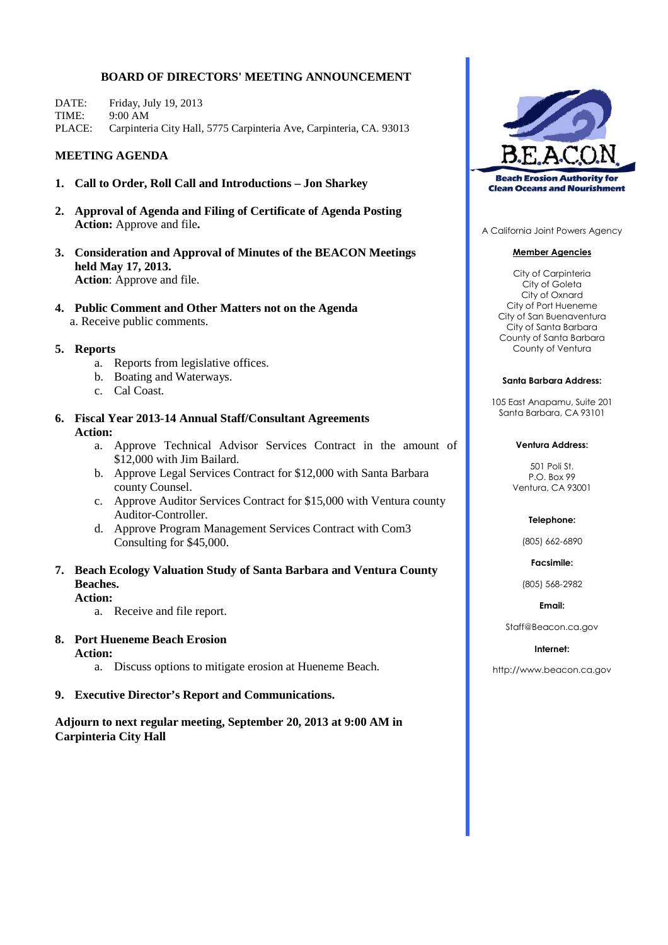#### **BOARD OF DIRECTORS' MEETING ANNOUNCEMENT**

DATE: Friday, July 19, 2013 TIME: 9:00 AM PLACE: Carpinteria City Hall, 5775 Carpinteria Ave, Carpinteria, CA. 93013

#### **MEETING AGENDA**

- **1. Call to Order, Roll Call and Introductions – Jon Sharkey**
- **2. Approval of Agenda and Filing of Certificate of Agenda Posting Action:** Approve and file**.**
- **3. Consideration and Approval of Minutes of the BEACON Meetings held May 17, 2013. Action**: Approve and file.
- **4. Public Comment and Other Matters not on the Agenda** a. Receive public comments.

#### **5. Reports**

- a. Reports from legislative offices.
- b. Boating and Waterways.
- c. Cal Coast.
- **6. Fiscal Year 2013-14 Annual Staff/Consultant Agreements Action:**
	- a. Approve Technical Advisor Services Contract in the amount of \$12,000 with Jim Bailard.
	- b. Approve Legal Services Contract for \$12,000 with Santa Barbara county Counsel.
	- c. Approve Auditor Services Contract for \$15,000 with Ventura county Auditor-Controller.
	- d. Approve Program Management Services Contract with Com3 Consulting for \$45,000.
- **7. Beach Ecology Valuation Study of Santa Barbara and Ventura County Beaches.**
	- **Action:**
		- a. Receive and file report.

#### **8. Port Hueneme Beach Erosion**

**Action:**

a. Discuss options to mitigate erosion at Hueneme Beach.

#### **9. Executive Director's Report and Communications.**

**Adjourn to next regular meeting, September 20, 2013 at 9:00 AM in Carpinteria City Hall**



A California Joint Powers Agency

#### **Member Agencies**

City of Carpinteria City of Goleta City of Oxnard City of Port Hueneme City of San Buenaventura City of Santa Barbara County of Santa Barbara County of Ventura

#### **Santa Barbara Address:**

105 East Anapamu, Suite 201 Santa Barbara, CA 93101

#### **Ventura Address:**

501 Poli St. P.O. Box 99 Ventura, CA 93001

#### **Telephone:**

(805) 662-6890

**Facsimile:**

(805) 568-2982

**Email:**

Staff@Beacon.ca.gov

#### **Internet:**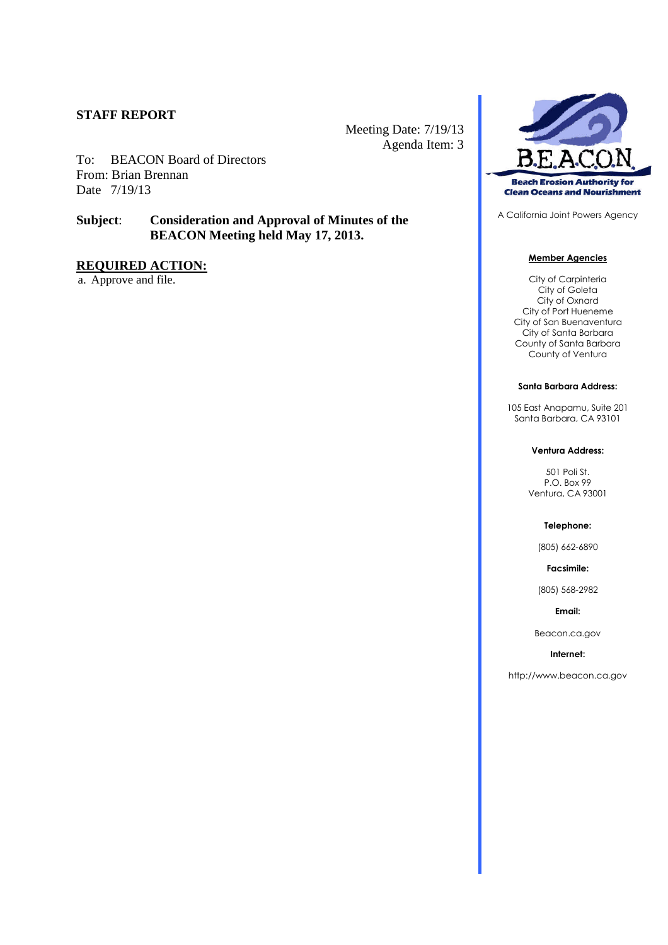#### **STAFF REPORT**

Meeting Date: 7/19/13 Agenda Item: 3

To: BEACON Board of Directors From: Brian Brennan Date 7/19/13

## **Subject**: **Consideration and Approval of Minutes of the BEACON Meeting held May 17, 2013.**

## **REQUIRED ACTION:**

a. Approve and file.



A California Joint Powers Agency

#### **Member Agencies**

City of Carpinteria City of Goleta City of Oxnard City of Port Hueneme City of San Buenaventura City of Santa Barbara County of Santa Barbara County of Ventura

#### **Santa Barbara Address:**

105 East Anapamu, Suite 201 Santa Barbara, CA 93101

#### **Ventura Address:**

501 Poli St. P.O. Box 99 Ventura, CA 93001

#### **Telephone:**

(805) 662-6890

**Facsimile:**

(805) 568-2982

**Email:**

Beacon.ca.gov

#### **Internet:**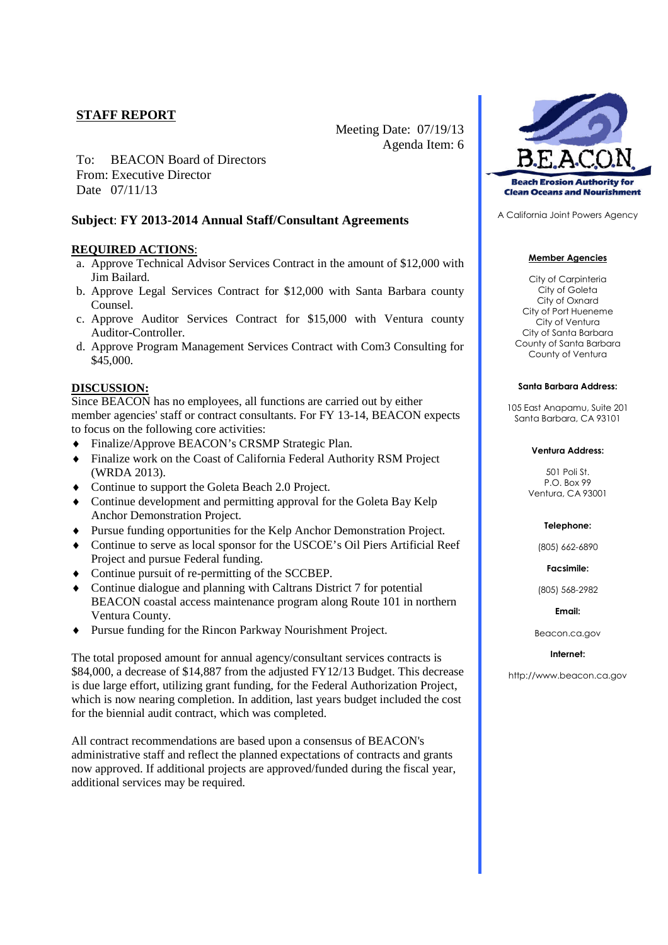## **STAFF REPORT**

Meeting Date: 07/19/13 Agenda Item: 6

To: BEACON Board of Directors From: Executive Director Date 07/11/13

#### **Subject**: **FY 2013-2014 Annual Staff/Consultant Agreements**

#### **REQUIRED ACTIONS**:

- a. Approve Technical Advisor Services Contract in the amount of \$12,000 with Jim Bailard.
- b. Approve Legal Services Contract for \$12,000 with Santa Barbara county Counsel.
- c. Approve Auditor Services Contract for \$15,000 with Ventura county Auditor-Controller.
- d. Approve Program Management Services Contract with Com3 Consulting for \$45,000.

#### **DISCUSSION:**

Since BEACON has no employees, all functions are carried out by either member agencies' staff or contract consultants. For FY 13-14, BEACON expects to focus on the following core activities:

- Finalize/Approve BEACON's CRSMP Strategic Plan.
- Finalize work on the Coast of California Federal Authority RSM Project (WRDA 2013).
- Continue to support the Goleta Beach 2.0 Project.
- Continue development and permitting approval for the Goleta Bay Kelp Anchor Demonstration Project.
- Pursue funding opportunities for the Kelp Anchor Demonstration Project.
- Continue to serve as local sponsor for the USCOE's Oil Piers Artificial Reef Project and pursue Federal funding.
- Continue pursuit of re-permitting of the SCCBEP.
- Continue dialogue and planning with Caltrans District 7 for potential BEACON coastal access maintenance program along Route 101 in northern Ventura County.
- Pursue funding for the Rincon Parkway Nourishment Project.

The total proposed amount for annual agency/consultant services contracts is \$84,000, a decrease of \$14,887 from the adjusted FY12/13 Budget. This decrease is due large effort, utilizing grant funding, for the Federal Authorization Project, which is now nearing completion. In addition, last years budget included the cost for the biennial audit contract, which was completed.

All contract recommendations are based upon a consensus of BEACON's administrative staff and reflect the planned expectations of contracts and grants now approved. If additional projects are approved/funded during the fiscal year, additional services may be required.



A California Joint Powers Agency

#### **Member Agencies**

City of Carpinteria City of Goleta City of Oxnard City of Port Hueneme City of Ventura City of Santa Barbara County of Santa Barbara County of Ventura

#### **Santa Barbara Address:**

105 East Anapamu, Suite 201 Santa Barbara, CA 93101

#### **Ventura Address:**

501 Poli St. P.O. Box 99 Ventura, CA 93001

#### **Telephone:**

(805) 662-6890

**Facsimile:**

(805) 568-2982

**Email:**

Beacon.ca.gov

#### **Internet:**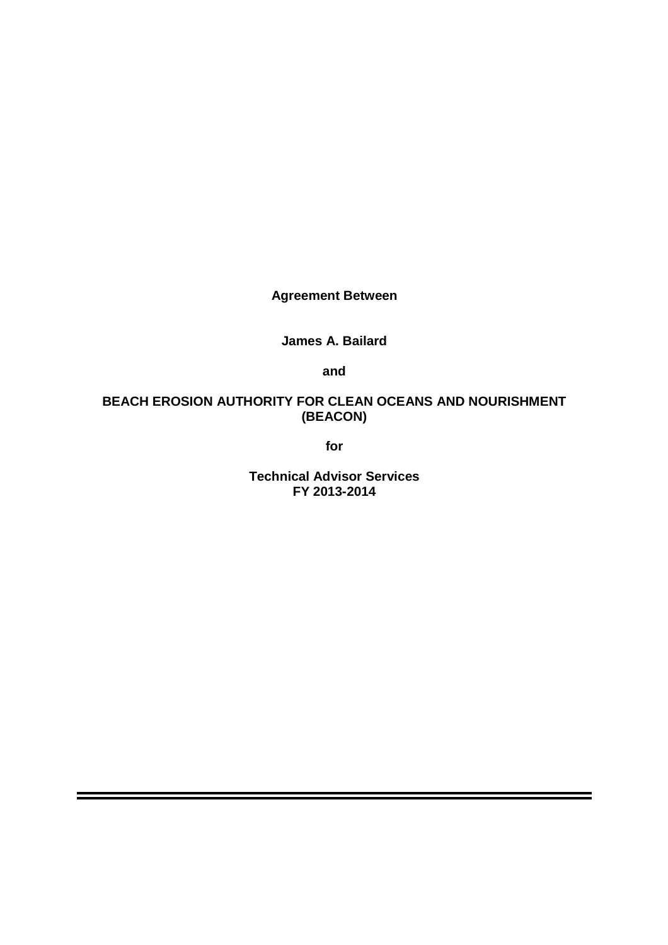**Agreement Between**

**James A. Bailard**

**and**

## **BEACH EROSION AUTHORITY FOR CLEAN OCEANS AND NOURISHMENT (BEACON)**

**for**

**Technical Advisor Services FY 2013-2014**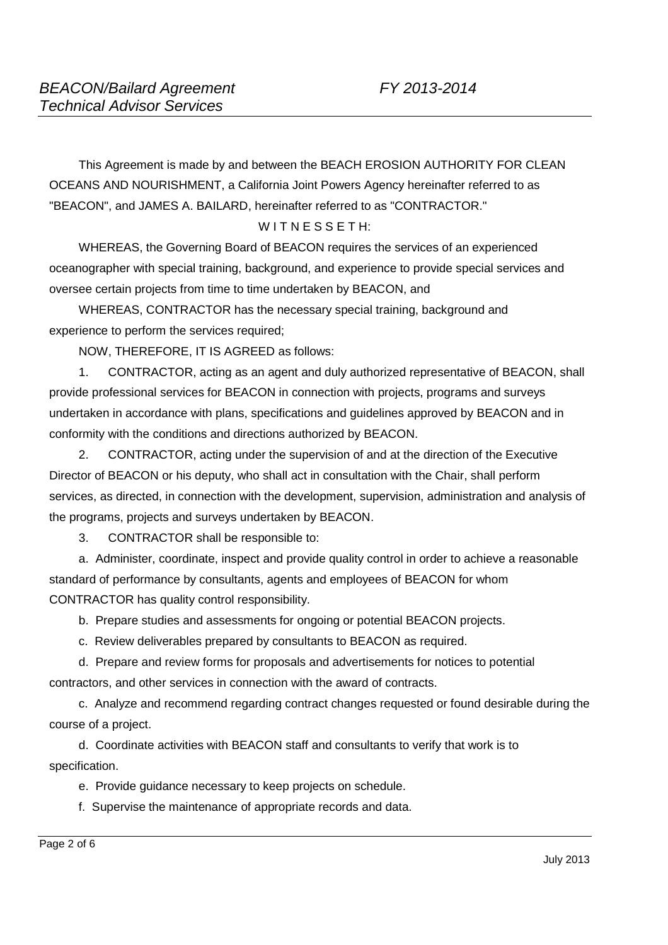This Agreement is made by and between the BEACH EROSION AUTHORITY FOR CLEAN OCEANS AND NOURISHMENT, a California Joint Powers Agency hereinafter referred to as "BEACON", and JAMES A. BAILARD, hereinafter referred to as "CONTRACTOR."

## $W$ ITNESSETH:

WHEREAS, the Governing Board of BEACON requires the services of an experienced oceanographer with special training, background, and experience to provide special services and oversee certain projects from time to time undertaken by BEACON, and

WHEREAS, CONTRACTOR has the necessary special training, background and experience to perform the services required;

NOW, THEREFORE, IT IS AGREED as follows:

1. CONTRACTOR, acting as an agent and duly authorized representative of BEACON, shall provide professional services for BEACON in connection with projects, programs and surveys undertaken in accordance with plans, specifications and guidelines approved by BEACON and in conformity with the conditions and directions authorized by BEACON.

2. CONTRACTOR, acting under the supervision of and at the direction of the Executive Director of BEACON or his deputy, who shall act in consultation with the Chair, shall perform services, as directed, in connection with the development, supervision, administration and analysis of the programs, projects and surveys undertaken by BEACON.

3. CONTRACTOR shall be responsible to:

a. Administer, coordinate, inspect and provide quality control in order to achieve a reasonable standard of performance by consultants, agents and employees of BEACON for whom CONTRACTOR has quality control responsibility.

b. Prepare studies and assessments for ongoing or potential BEACON projects.

c. Review deliverables prepared by consultants to BEACON as required.

d. Prepare and review forms for proposals and advertisements for notices to potential contractors, and other services in connection with the award of contracts.

c. Analyze and recommend regarding contract changes requested or found desirable during the course of a project.

d. Coordinate activities with BEACON staff and consultants to verify that work is to specification.

e. Provide guidance necessary to keep projects on schedule.

f. Supervise the maintenance of appropriate records and data.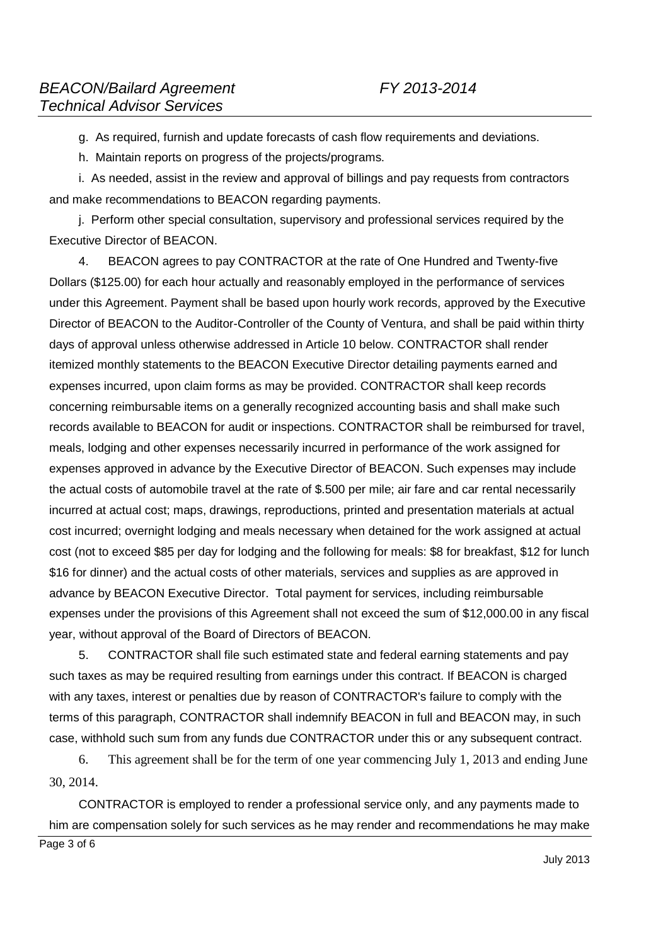g. As required, furnish and update forecasts of cash flow requirements and deviations.

h. Maintain reports on progress of the projects/programs.

i. As needed, assist in the review and approval of billings and pay requests from contractors and make recommendations to BEACON regarding payments.

j. Perform other special consultation, supervisory and professional services required by the Executive Director of BEACON.

4. BEACON agrees to pay CONTRACTOR at the rate of One Hundred and Twenty-five Dollars (\$125.00) for each hour actually and reasonably employed in the performance of services under this Agreement. Payment shall be based upon hourly work records, approved by the Executive Director of BEACON to the Auditor-Controller of the County of Ventura, and shall be paid within thirty days of approval unless otherwise addressed in Article 10 below. CONTRACTOR shall render itemized monthly statements to the BEACON Executive Director detailing payments earned and expenses incurred, upon claim forms as may be provided. CONTRACTOR shall keep records concerning reimbursable items on a generally recognized accounting basis and shall make such records available to BEACON for audit or inspections. CONTRACTOR shall be reimbursed for travel, meals, lodging and other expenses necessarily incurred in performance of the work assigned for expenses approved in advance by the Executive Director of BEACON. Such expenses may include the actual costs of automobile travel at the rate of \$.500 per mile; air fare and car rental necessarily incurred at actual cost; maps, drawings, reproductions, printed and presentation materials at actual cost incurred; overnight lodging and meals necessary when detained for the work assigned at actual cost (not to exceed \$85 per day for lodging and the following for meals: \$8 for breakfast, \$12 for lunch \$16 for dinner) and the actual costs of other materials, services and supplies as are approved in advance by BEACON Executive Director. Total payment for services, including reimbursable expenses under the provisions of this Agreement shall not exceed the sum of \$12,000.00 in any fiscal year, without approval of the Board of Directors of BEACON.

5. CONTRACTOR shall file such estimated state and federal earning statements and pay such taxes as may be required resulting from earnings under this contract. If BEACON is charged with any taxes, interest or penalties due by reason of CONTRACTOR's failure to comply with the terms of this paragraph, CONTRACTOR shall indemnify BEACON in full and BEACON may, in such case, withhold such sum from any funds due CONTRACTOR under this or any subsequent contract.

6. This agreement shall be for the term of one year commencing July 1, 2013 and ending June 30, 2014.

CONTRACTOR is employed to render a professional service only, and any payments made to him are compensation solely for such services as he may render and recommendations he may make

Page 3 of 6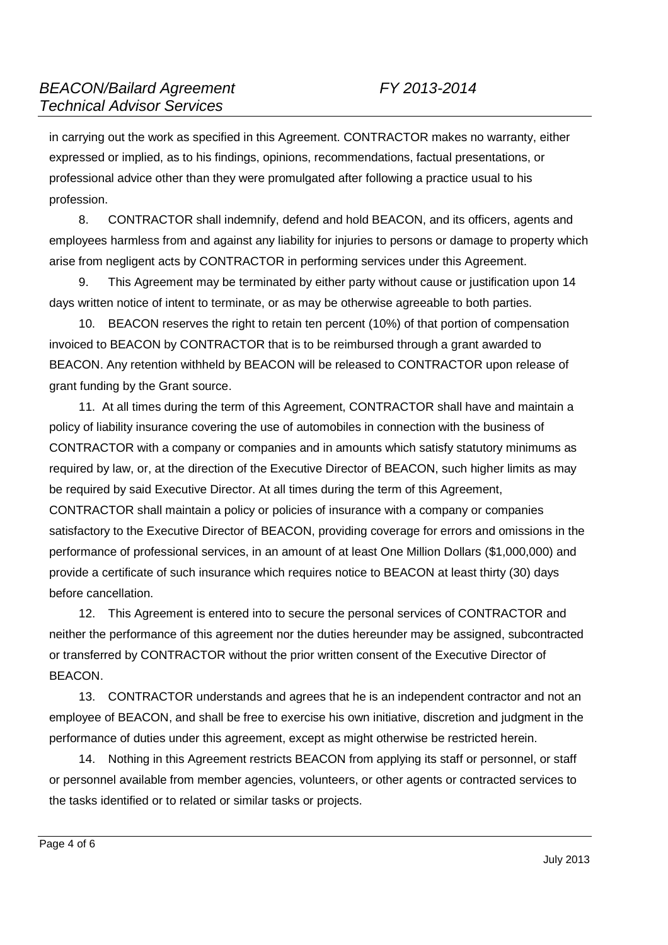in carrying out the work as specified in this Agreement. CONTRACTOR makes no warranty, either expressed or implied, as to his findings, opinions, recommendations, factual presentations, or professional advice other than they were promulgated after following a practice usual to his profession.

8. CONTRACTOR shall indemnify, defend and hold BEACON, and its officers, agents and employees harmless from and against any liability for injuries to persons or damage to property which arise from negligent acts by CONTRACTOR in performing services under this Agreement.

9. This Agreement may be terminated by either party without cause or justification upon 14 days written notice of intent to terminate, or as may be otherwise agreeable to both parties.

10. BEACON reserves the right to retain ten percent (10%) of that portion of compensation invoiced to BEACON by CONTRACTOR that is to be reimbursed through a grant awarded to BEACON. Any retention withheld by BEACON will be released to CONTRACTOR upon release of grant funding by the Grant source.

11. At all times during the term of this Agreement, CONTRACTOR shall have and maintain a policy of liability insurance covering the use of automobiles in connection with the business of CONTRACTOR with a company or companies and in amounts which satisfy statutory minimums as required by law, or, at the direction of the Executive Director of BEACON, such higher limits as may be required by said Executive Director. At all times during the term of this Agreement, CONTRACTOR shall maintain a policy or policies of insurance with a company or companies satisfactory to the Executive Director of BEACON, providing coverage for errors and omissions in the performance of professional services, in an amount of at least One Million Dollars (\$1,000,000) and provide a certificate of such insurance which requires notice to BEACON at least thirty (30) days before cancellation.

12. This Agreement is entered into to secure the personal services of CONTRACTOR and neither the performance of this agreement nor the duties hereunder may be assigned, subcontracted or transferred by CONTRACTOR without the prior written consent of the Executive Director of BEACON.

13. CONTRACTOR understands and agrees that he is an independent contractor and not an employee of BEACON, and shall be free to exercise his own initiative, discretion and judgment in the performance of duties under this agreement, except as might otherwise be restricted herein.

14. Nothing in this Agreement restricts BEACON from applying its staff or personnel, or staff or personnel available from member agencies, volunteers, or other agents or contracted services to the tasks identified or to related or similar tasks or projects.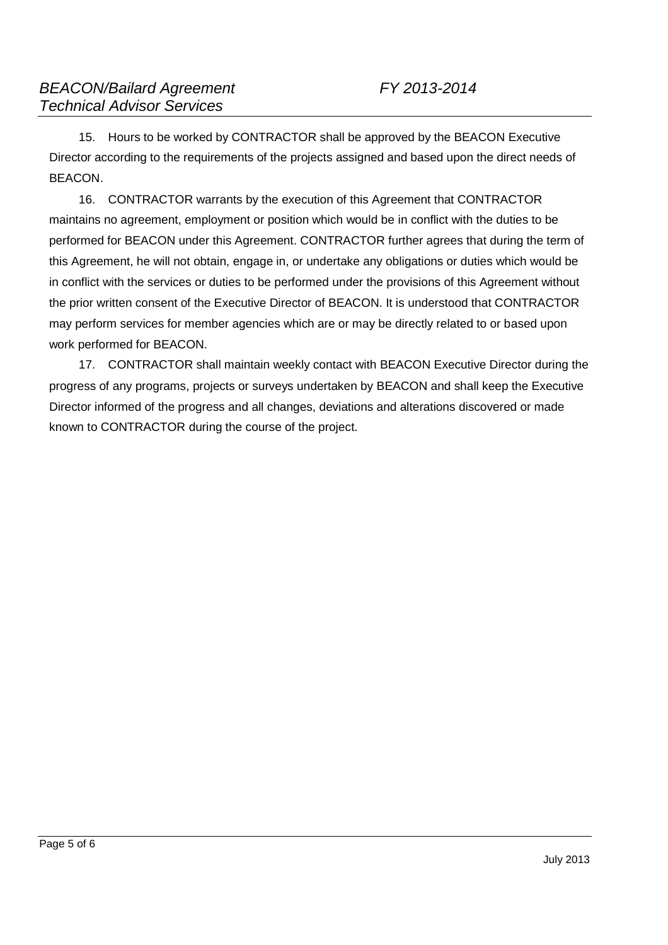15. Hours to be worked by CONTRACTOR shall be approved by the BEACON Executive Director according to the requirements of the projects assigned and based upon the direct needs of BEACON.

16. CONTRACTOR warrants by the execution of this Agreement that CONTRACTOR maintains no agreement, employment or position which would be in conflict with the duties to be performed for BEACON under this Agreement. CONTRACTOR further agrees that during the term of this Agreement, he will not obtain, engage in, or undertake any obligations or duties which would be in conflict with the services or duties to be performed under the provisions of this Agreement without the prior written consent of the Executive Director of BEACON. It is understood that CONTRACTOR may perform services for member agencies which are or may be directly related to or based upon work performed for BEACON.

17. CONTRACTOR shall maintain weekly contact with BEACON Executive Director during the progress of any programs, projects or surveys undertaken by BEACON and shall keep the Executive Director informed of the progress and all changes, deviations and alterations discovered or made known to CONTRACTOR during the course of the project.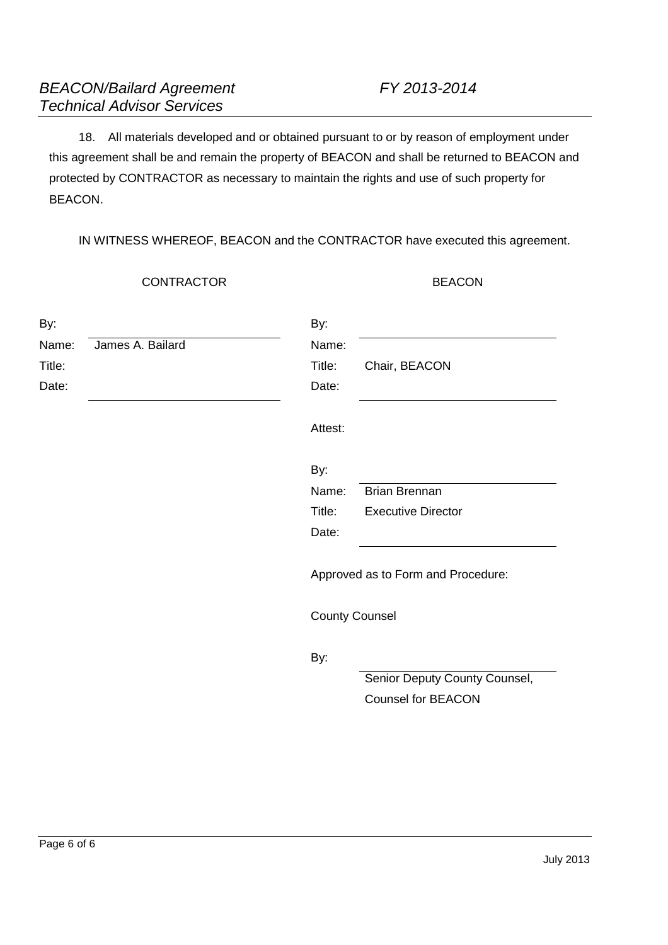18. All materials developed and or obtained pursuant to or by reason of employment under this agreement shall be and remain the property of BEACON and shall be returned to BEACON and protected by CONTRACTOR as necessary to maintain the rights and use of such property for BEACON.

IN WITNESS WHEREOF, BEACON and the CONTRACTOR have executed this agreement.

CONTRACTOR BEACON

| By:<br>Name: | James A. Bailard | By:<br>Name:          |                                    |
|--------------|------------------|-----------------------|------------------------------------|
| Title:       |                  | Title:                | Chair, BEACON                      |
| Date:        |                  | Date:                 |                                    |
|              |                  | Attest:               |                                    |
|              |                  | By:                   |                                    |
|              |                  | Name:                 | <b>Brian Brennan</b>               |
|              |                  | Title:                | <b>Executive Director</b>          |
|              |                  | Date:                 |                                    |
|              |                  |                       | Approved as to Form and Procedure: |
|              |                  | <b>County Counsel</b> |                                    |
|              |                  | By:                   |                                    |
|              |                  |                       | Senior Deputy County Counsel,      |
|              |                  |                       | <b>Counsel for BEACON</b>          |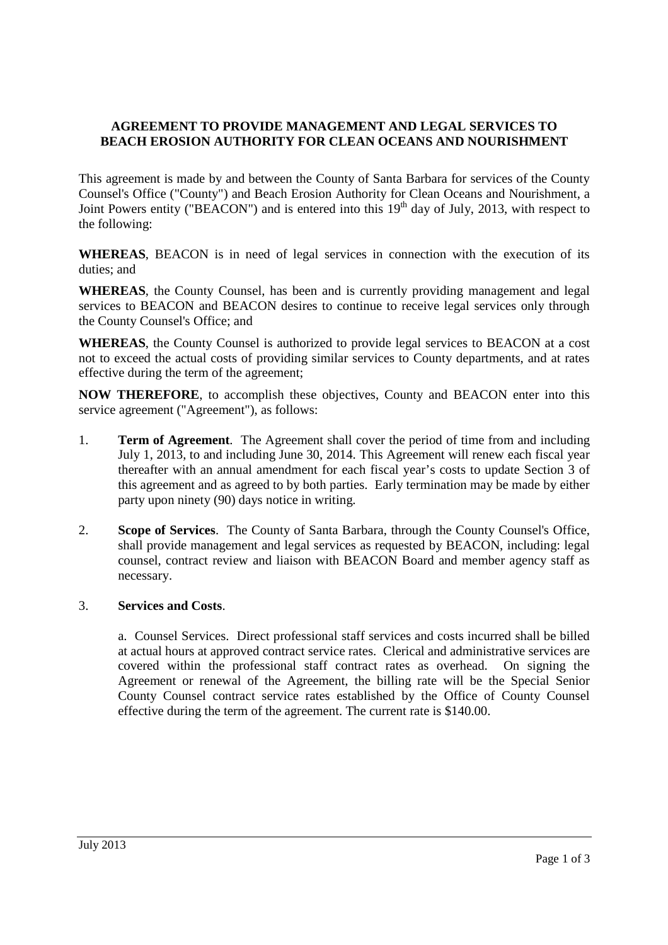## **AGREEMENT TO PROVIDE MANAGEMENT AND LEGAL SERVICES TO BEACH EROSION AUTHORITY FOR CLEAN OCEANS AND NOURISHMENT**

This agreement is made by and between the County of Santa Barbara for services of the County Counsel's Office ("County") and Beach Erosion Authority for Clean Oceans and Nourishment, a Joint Powers entity ("BEACON") and is entered into this  $19<sup>th</sup>$  day of July, 2013, with respect to the following:

**WHEREAS**, BEACON is in need of legal services in connection with the execution of its duties; and

**WHEREAS**, the County Counsel, has been and is currently providing management and legal services to BEACON and BEACON desires to continue to receive legal services only through the County Counsel's Office; and

**WHEREAS**, the County Counsel is authorized to provide legal services to BEACON at a cost not to exceed the actual costs of providing similar services to County departments, and at rates effective during the term of the agreement;

**NOW THEREFORE**, to accomplish these objectives, County and BEACON enter into this service agreement ("Agreement"), as follows:

- 1. **Term of Agreement**. The Agreement shall cover the period of time from and including July 1, 2013, to and including June 30, 2014. This Agreement will renew each fiscal year thereafter with an annual amendment for each fiscal year's costs to update Section 3 of this agreement and as agreed to by both parties. Early termination may be made by either party upon ninety (90) days notice in writing.
- 2. **Scope of Services**. The County of Santa Barbara, through the County Counsel's Office, shall provide management and legal services as requested by BEACON, including: legal counsel, contract review and liaison with BEACON Board and member agency staff as necessary.

## 3. **Services and Costs**.

a. Counsel Services. Direct professional staff services and costs incurred shall be billed at actual hours at approved contract service rates. Clerical and administrative services are covered within the professional staff contract rates as overhead. On signing the Agreement or renewal of the Agreement, the billing rate will be the Special Senior County Counsel contract service rates established by the Office of County Counsel effective during the term of the agreement. The current rate is \$140.00.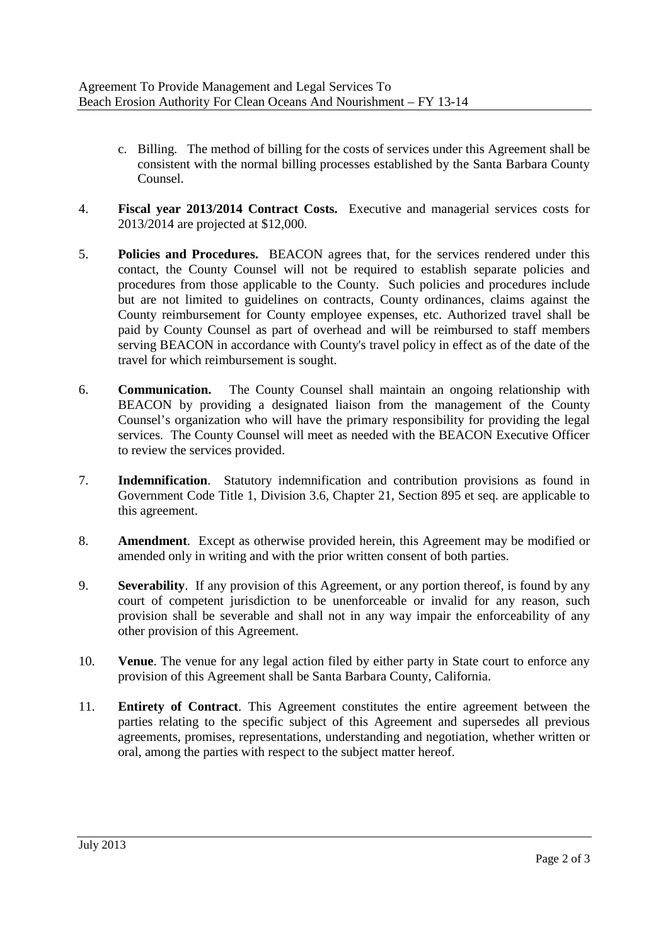- c. Billing. The method of billing for the costs of services under this Agreement shall be consistent with the normal billing processes established by the Santa Barbara County Counsel.
- 4. **Fiscal year 2013/2014 Contract Costs.** Executive and managerial services costs for 2013/2014 are projected at \$12,000.
- 5. **Policies and Procedures.** BEACON agrees that, for the services rendered under this contact, the County Counsel will not be required to establish separate policies and procedures from those applicable to the County. Such policies and procedures include but are not limited to guidelines on contracts, County ordinances, claims against the County reimbursement for County employee expenses, etc. Authorized travel shall be paid by County Counsel as part of overhead and will be reimbursed to staff members serving BEACON in accordance with County's travel policy in effect as of the date of the travel for which reimbursement is sought.
- 6. **Communication.** The County Counsel shall maintain an ongoing relationship with BEACON by providing a designated liaison from the management of the County Counsel's organization who will have the primary responsibility for providing the legal services. The County Counsel will meet as needed with the BEACON Executive Officer to review the services provided.
- 7. **Indemnification**. Statutory indemnification and contribution provisions as found in Government Code Title 1, Division 3.6, Chapter 21, Section 895 et seq. are applicable to this agreement.
- 8. **Amendment**. Except as otherwise provided herein, this Agreement may be modified or amended only in writing and with the prior written consent of both parties.
- 9. **Severability**. If any provision of this Agreement, or any portion thereof, is found by any court of competent jurisdiction to be unenforceable or invalid for any reason, such provision shall be severable and shall not in any way impair the enforceability of any other provision of this Agreement.
- 10. **Venue**. The venue for any legal action filed by either party in State court to enforce any provision of this Agreement shall be Santa Barbara County, California.
- 11. **Entirety of Contract**. This Agreement constitutes the entire agreement between the parties relating to the specific subject of this Agreement and supersedes all previous agreements, promises, representations, understanding and negotiation, whether written or oral, among the parties with respect to the subject matter hereof.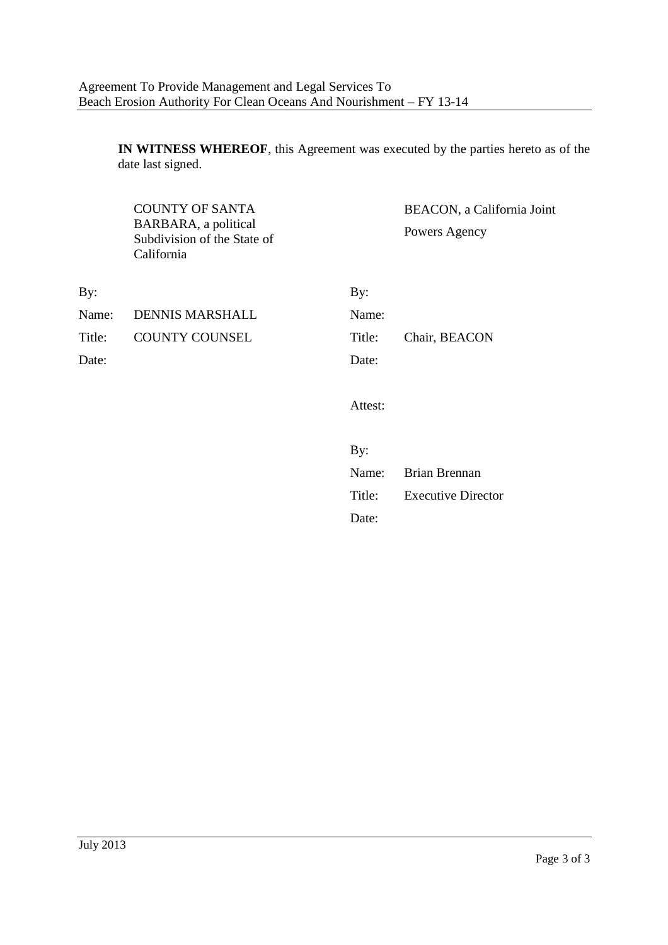**IN WITNESS WHEREOF**, this Agreement was executed by the parties hereto as of the date last signed.

|        | <b>COUNTY OF SANTA</b><br>BARBARA, a political<br>Subdivision of the State of<br>California |         | BEACON, a California Joint<br>Powers Agency |
|--------|---------------------------------------------------------------------------------------------|---------|---------------------------------------------|
| By:    |                                                                                             | By:     |                                             |
| Name:  | <b>DENNIS MARSHALL</b>                                                                      | Name:   |                                             |
| Title: | <b>COUNTY COUNSEL</b>                                                                       | Title:  | Chair, BEACON                               |
| Date:  |                                                                                             | Date:   |                                             |
|        |                                                                                             | Attest: |                                             |
|        |                                                                                             | By:     |                                             |
|        |                                                                                             | Name:   | Brian Brennan                               |

Title: Executive Director Date: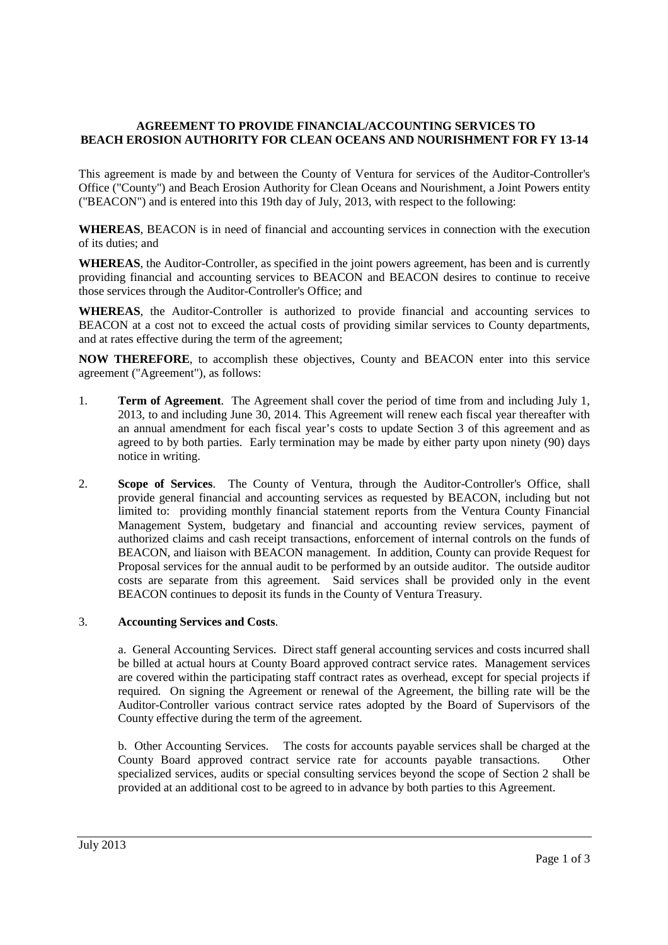## **AGREEMENT TO PROVIDE FINANCIAL/ACCOUNTING SERVICES TO BEACH EROSION AUTHORITY FOR CLEAN OCEANS AND NOURISHMENT FOR FY 13-14**

This agreement is made by and between the County of Ventura for services of the Auditor-Controller's Office ("County") and Beach Erosion Authority for Clean Oceans and Nourishment, a Joint Powers entity ("BEACON") and is entered into this 19th day of July, 2013, with respect to the following:

**WHEREAS**, BEACON is in need of financial and accounting services in connection with the execution of its duties; and

**WHEREAS**, the Auditor-Controller, as specified in the joint powers agreement, has been and is currently providing financial and accounting services to BEACON and BEACON desires to continue to receive those services through the Auditor-Controller's Office; and

**WHEREAS**, the Auditor-Controller is authorized to provide financial and accounting services to BEACON at a cost not to exceed the actual costs of providing similar services to County departments, and at rates effective during the term of the agreement;

**NOW THEREFORE**, to accomplish these objectives, County and BEACON enter into this service agreement ("Agreement"), as follows:

- 1. **Term of Agreement**. The Agreement shall cover the period of time from and including July 1, 2013, to and including June 30, 2014. This Agreement will renew each fiscal year thereafter with an annual amendment for each fiscal year's costs to update Section 3 of this agreement and as agreed to by both parties. Early termination may be made by either party upon ninety (90) days notice in writing.
- 2. **Scope of Services**. The County of Ventura, through the Auditor-Controller's Office, shall provide general financial and accounting services as requested by BEACON, including but not limited to: providing monthly financial statement reports from the Ventura County Financial Management System, budgetary and financial and accounting review services, payment of authorized claims and cash receipt transactions, enforcement of internal controls on the funds of BEACON, and liaison with BEACON management. In addition, County can provide Request for Proposal services for the annual audit to be performed by an outside auditor. The outside auditor costs are separate from this agreement. Said services shall be provided only in the event BEACON continues to deposit its funds in the County of Ventura Treasury.

#### 3. **Accounting Services and Costs**.

a. General Accounting Services. Direct staff general accounting services and costs incurred shall be billed at actual hours at County Board approved contract service rates. Management services are covered within the participating staff contract rates as overhead, except for special projects if required. On signing the Agreement or renewal of the Agreement, the billing rate will be the Auditor-Controller various contract service rates adopted by the Board of Supervisors of the County effective during the term of the agreement.

b. Other Accounting Services. The costs for accounts payable services shall be charged at the County Board approved contract service rate for accounts payable transactions. Other specialized services, audits or special consulting services beyond the scope of Section 2 shall be provided at an additional cost to be agreed to in advance by both parties to this Agreement.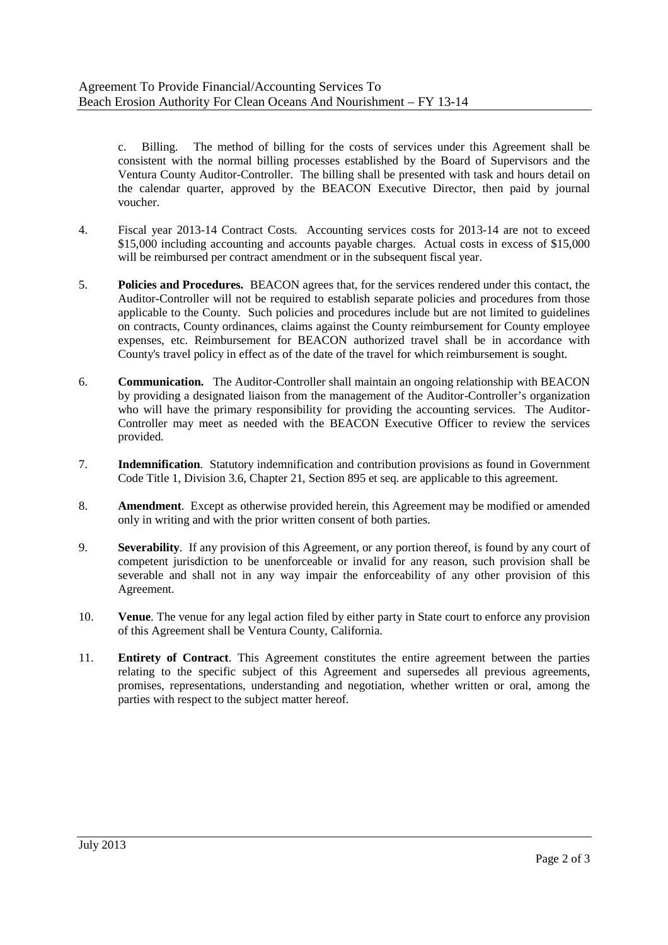c. Billing. The method of billing for the costs of services under this Agreement shall be consistent with the normal billing processes established by the Board of Supervisors and the Ventura County Auditor-Controller. The billing shall be presented with task and hours detail on the calendar quarter, approved by the BEACON Executive Director, then paid by journal voucher.

- 4. Fiscal year 2013-14 Contract Costs. Accounting services costs for 2013-14 are not to exceed \$15,000 including accounting and accounts payable charges. Actual costs in excess of \$15,000 will be reimbursed per contract amendment or in the subsequent fiscal year.
- 5. **Policies and Procedures.** BEACON agrees that, for the services rendered under this contact, the Auditor-Controller will not be required to establish separate policies and procedures from those applicable to the County. Such policies and procedures include but are not limited to guidelines on contracts, County ordinances, claims against the County reimbursement for County employee expenses, etc. Reimbursement for BEACON authorized travel shall be in accordance with County's travel policy in effect as of the date of the travel for which reimbursement is sought.
- 6. **Communication.** The Auditor-Controller shall maintain an ongoing relationship with BEACON by providing a designated liaison from the management of the Auditor-Controller's organization who will have the primary responsibility for providing the accounting services. The Auditor-Controller may meet as needed with the BEACON Executive Officer to review the services provided.
- 7. **Indemnification**. Statutory indemnification and contribution provisions as found in Government Code Title 1, Division 3.6, Chapter 21, Section 895 et seq. are applicable to this agreement.
- 8. **Amendment**. Except as otherwise provided herein, this Agreement may be modified or amended only in writing and with the prior written consent of both parties.
- 9. **Severability**. If any provision of this Agreement, or any portion thereof, is found by any court of competent jurisdiction to be unenforceable or invalid for any reason, such provision shall be severable and shall not in any way impair the enforceability of any other provision of this Agreement.
- 10. **Venue**. The venue for any legal action filed by either party in State court to enforce any provision of this Agreement shall be Ventura County, California.
- 11. **Entirety of Contract**. This Agreement constitutes the entire agreement between the parties relating to the specific subject of this Agreement and supersedes all previous agreements, promises, representations, understanding and negotiation, whether written or oral, among the parties with respect to the subject matter hereof.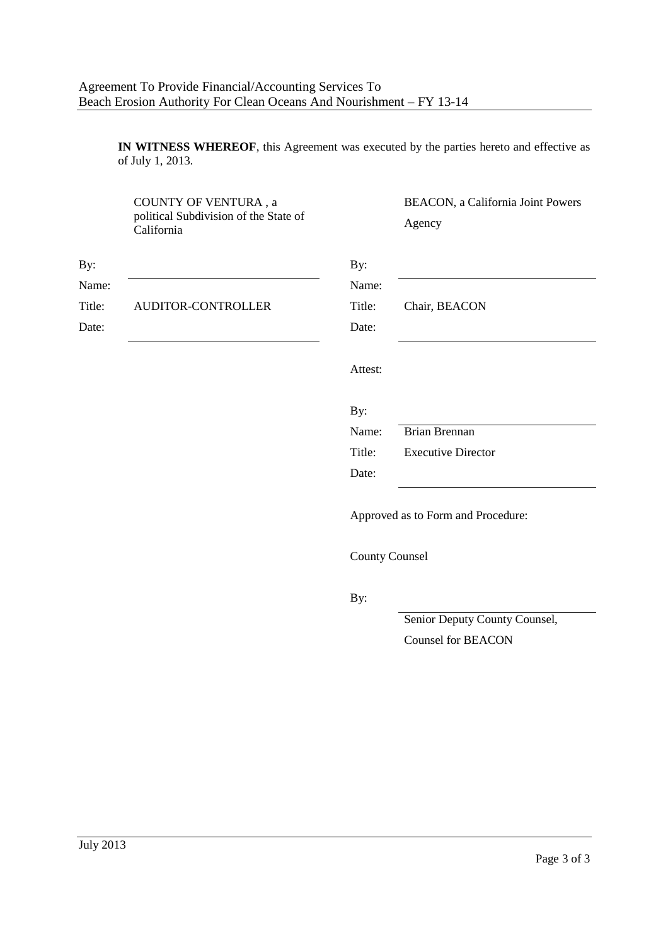**IN WITNESS WHEREOF**, this Agreement was executed by the parties hereto and effective as of July 1, 2013.

|        | COUNTY OF VENTURA, a<br>political Subdivision of the State of<br>California |                       | BEACON, a California Joint Powers<br>Agency |
|--------|-----------------------------------------------------------------------------|-----------------------|---------------------------------------------|
| By:    |                                                                             | By:                   |                                             |
| Name:  |                                                                             | Name:                 |                                             |
| Title: | AUDITOR-CONTROLLER                                                          | Title:                | Chair, BEACON                               |
| Date:  |                                                                             | Date:                 |                                             |
|        |                                                                             | Attest:               |                                             |
|        |                                                                             | By:                   |                                             |
|        |                                                                             | Name:                 | <b>Brian Brennan</b>                        |
|        |                                                                             | Title:                | <b>Executive Director</b>                   |
|        |                                                                             | Date:                 |                                             |
|        |                                                                             |                       | Approved as to Form and Procedure:          |
|        |                                                                             | <b>County Counsel</b> |                                             |
|        |                                                                             | By:                   |                                             |
|        |                                                                             |                       | Senior Deputy County Counsel,               |
|        |                                                                             |                       | <b>Counsel for BEACON</b>                   |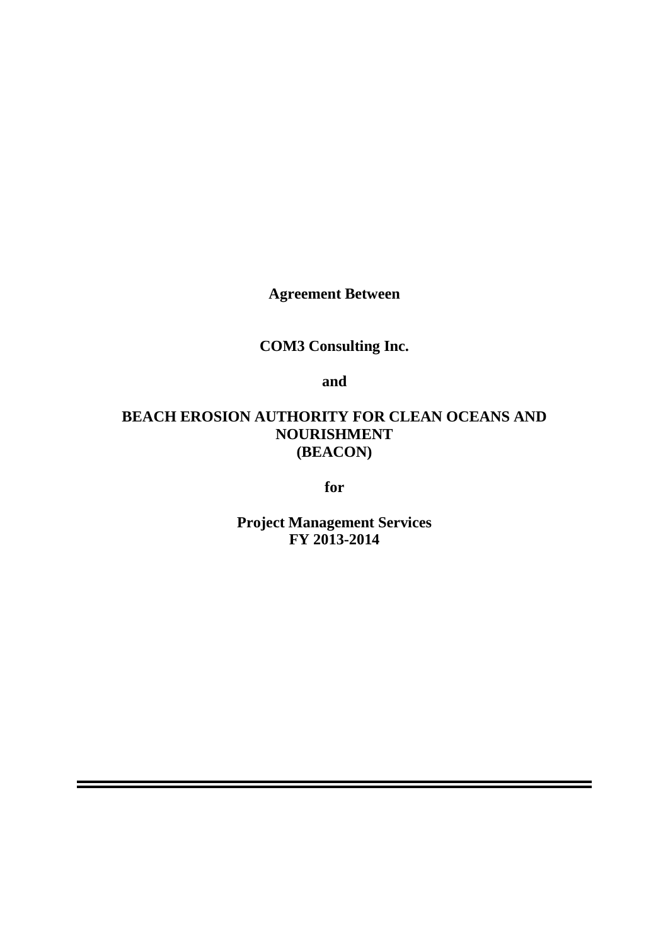**Agreement Between**

# **COM3 Consulting Inc.**

**and**

# **BEACH EROSION AUTHORITY FOR CLEAN OCEANS AND NOURISHMENT (BEACON)**

**for**

**Project Management Services FY 2013-2014**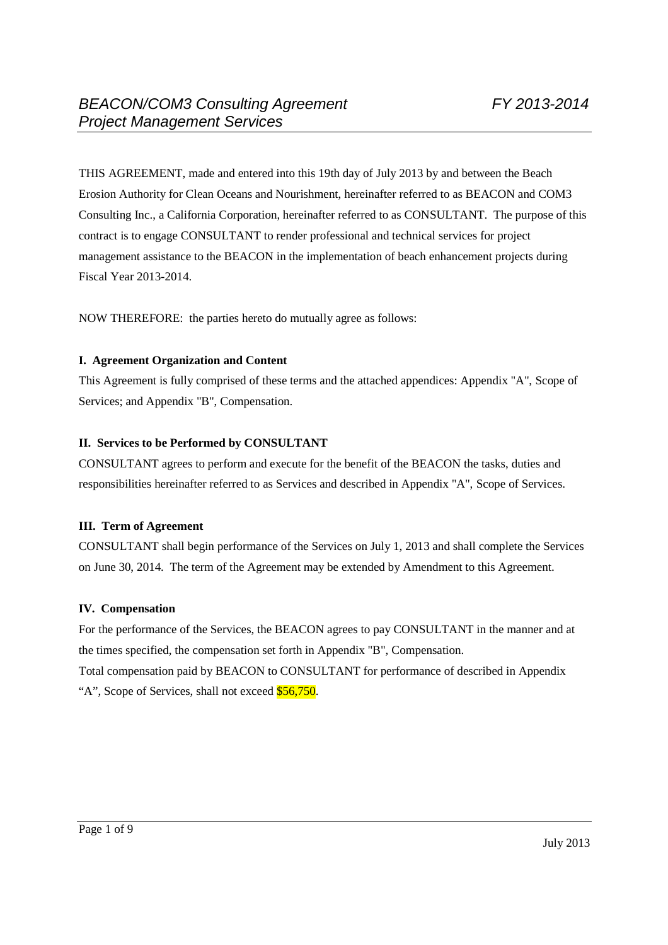THIS AGREEMENT, made and entered into this 19th day of July 2013 by and between the Beach Erosion Authority for Clean Oceans and Nourishment, hereinafter referred to as BEACON and COM3 Consulting Inc., a California Corporation, hereinafter referred to as CONSULTANT. The purpose of this contract is to engage CONSULTANT to render professional and technical services for project management assistance to the BEACON in the implementation of beach enhancement projects during Fiscal Year 2013-2014.

NOW THEREFORE: the parties hereto do mutually agree as follows:

#### **I. Agreement Organization and Content**

This Agreement is fully comprised of these terms and the attached appendices: Appendix "A", Scope of Services; and Appendix "B", Compensation.

## **II. Services to be Performed by CONSULTANT**

CONSULTANT agrees to perform and execute for the benefit of the BEACON the tasks, duties and responsibilities hereinafter referred to as Services and described in Appendix "A", Scope of Services.

## **III. Term of Agreement**

CONSULTANT shall begin performance of the Services on July 1, 2013 and shall complete the Services on June 30, 2014. The term of the Agreement may be extended by Amendment to this Agreement.

## **IV. Compensation**

For the performance of the Services, the BEACON agrees to pay CONSULTANT in the manner and at the times specified, the compensation set forth in Appendix "B", Compensation. Total compensation paid by BEACON to CONSULTANT for performance of described in Appendix "A", Scope of Services, shall not exceed \$56,750.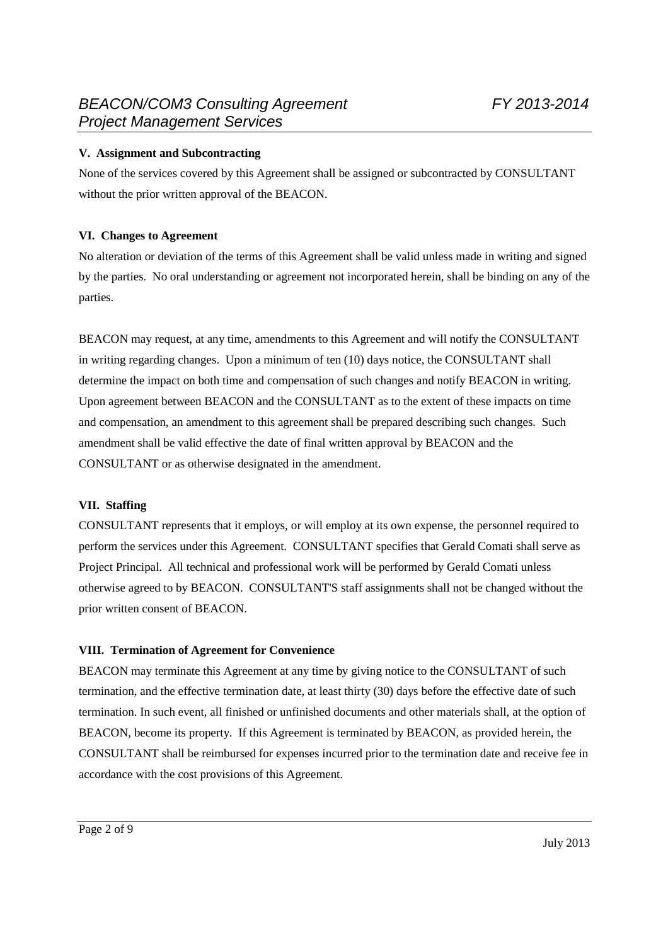## **V. Assignment and Subcontracting**

None of the services covered by this Agreement shall be assigned or subcontracted by CONSULTANT without the prior written approval of the BEACON.

## **VI. Changes to Agreement**

No alteration or deviation of the terms of this Agreement shall be valid unless made in writing and signed by the parties. No oral understanding or agreement not incorporated herein, shall be binding on any of the parties.

BEACON may request, at any time, amendments to this Agreement and will notify the CONSULTANT in writing regarding changes. Upon a minimum of ten (10) days notice, the CONSULTANT shall determine the impact on both time and compensation of such changes and notify BEACON in writing. Upon agreement between BEACON and the CONSULTANT as to the extent of these impacts on time and compensation, an amendment to this agreement shall be prepared describing such changes. Such amendment shall be valid effective the date of final written approval by BEACON and the CONSULTANT or as otherwise designated in the amendment.

## **VII. Staffing**

CONSULTANT represents that it employs, or will employ at its own expense, the personnel required to perform the services under this Agreement. CONSULTANT specifies that Gerald Comati shall serve as Project Principal. All technical and professional work will be performed by Gerald Comati unless otherwise agreed to by BEACON. CONSULTANT'S staff assignments shall not be changed without the prior written consent of BEACON.

## **VIII. Termination of Agreement for Convenience**

BEACON may terminate this Agreement at any time by giving notice to the CONSULTANT of such termination, and the effective termination date, at least thirty (30) days before the effective date of such termination. In such event, all finished or unfinished documents and other materials shall, at the option of BEACON, become its property. If this Agreement is terminated by BEACON, as provided herein, the CONSULTANT shall be reimbursed for expenses incurred prior to the termination date and receive fee in accordance with the cost provisions of this Agreement.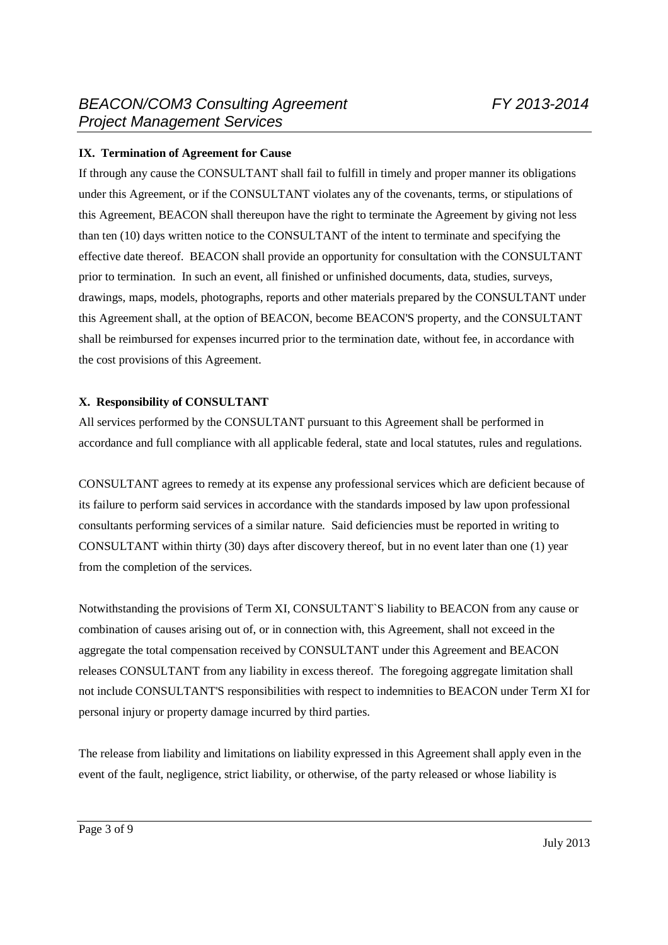## **IX. Termination of Agreement for Cause**

If through any cause the CONSULTANT shall fail to fulfill in timely and proper manner its obligations under this Agreement, or if the CONSULTANT violates any of the covenants, terms, or stipulations of this Agreement, BEACON shall thereupon have the right to terminate the Agreement by giving not less than ten (10) days written notice to the CONSULTANT of the intent to terminate and specifying the effective date thereof. BEACON shall provide an opportunity for consultation with the CONSULTANT prior to termination. In such an event, all finished or unfinished documents, data, studies, surveys, drawings, maps, models, photographs, reports and other materials prepared by the CONSULTANT under this Agreement shall, at the option of BEACON, become BEACON'S property, and the CONSULTANT shall be reimbursed for expenses incurred prior to the termination date, without fee, in accordance with the cost provisions of this Agreement.

## **X. Responsibility of CONSULTANT**

All services performed by the CONSULTANT pursuant to this Agreement shall be performed in accordance and full compliance with all applicable federal, state and local statutes, rules and regulations.

CONSULTANT agrees to remedy at its expense any professional services which are deficient because of its failure to perform said services in accordance with the standards imposed by law upon professional consultants performing services of a similar nature. Said deficiencies must be reported in writing to CONSULTANT within thirty (30) days after discovery thereof, but in no event later than one (1) year from the completion of the services.

Notwithstanding the provisions of Term XI, CONSULTANT`S liability to BEACON from any cause or combination of causes arising out of, or in connection with, this Agreement, shall not exceed in the aggregate the total compensation received by CONSULTANT under this Agreement and BEACON releases CONSULTANT from any liability in excess thereof. The foregoing aggregate limitation shall not include CONSULTANT'S responsibilities with respect to indemnities to BEACON under Term XI for personal injury or property damage incurred by third parties.

The release from liability and limitations on liability expressed in this Agreement shall apply even in the event of the fault, negligence, strict liability, or otherwise, of the party released or whose liability is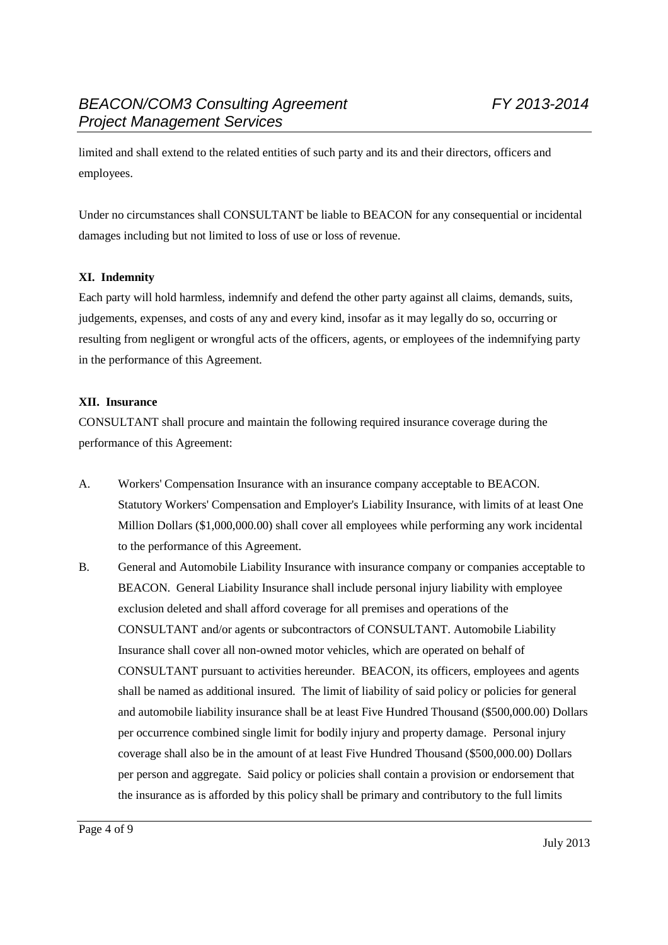limited and shall extend to the related entities of such party and its and their directors, officers and employees.

Under no circumstances shall CONSULTANT be liable to BEACON for any consequential or incidental damages including but not limited to loss of use or loss of revenue.

## **XI. Indemnity**

Each party will hold harmless, indemnify and defend the other party against all claims, demands, suits, judgements, expenses, and costs of any and every kind, insofar as it may legally do so, occurring or resulting from negligent or wrongful acts of the officers, agents, or employees of the indemnifying party in the performance of this Agreement.

## **XII. Insurance**

CONSULTANT shall procure and maintain the following required insurance coverage during the performance of this Agreement:

- A. Workers' Compensation Insurance with an insurance company acceptable to BEACON. Statutory Workers' Compensation and Employer's Liability Insurance, with limits of at least One Million Dollars (\$1,000,000.00) shall cover all employees while performing any work incidental to the performance of this Agreement.
- B. General and Automobile Liability Insurance with insurance company or companies acceptable to BEACON. General Liability Insurance shall include personal injury liability with employee exclusion deleted and shall afford coverage for all premises and operations of the CONSULTANT and/or agents or subcontractors of CONSULTANT. Automobile Liability Insurance shall cover all non-owned motor vehicles, which are operated on behalf of CONSULTANT pursuant to activities hereunder. BEACON, its officers, employees and agents shall be named as additional insured. The limit of liability of said policy or policies for general and automobile liability insurance shall be at least Five Hundred Thousand (\$500,000.00) Dollars per occurrence combined single limit for bodily injury and property damage. Personal injury coverage shall also be in the amount of at least Five Hundred Thousand (\$500,000.00) Dollars per person and aggregate. Said policy or policies shall contain a provision or endorsement that the insurance as is afforded by this policy shall be primary and contributory to the full limits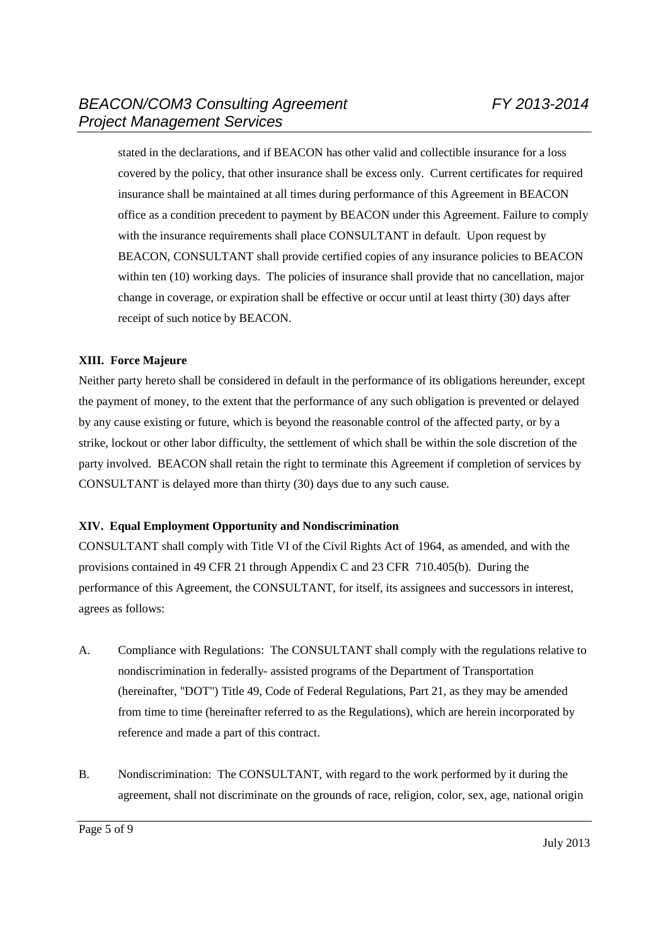stated in the declarations, and if BEACON has other valid and collectible insurance for a loss covered by the policy, that other insurance shall be excess only. Current certificates for required insurance shall be maintained at all times during performance of this Agreement in BEACON office as a condition precedent to payment by BEACON under this Agreement. Failure to comply with the insurance requirements shall place CONSULTANT in default. Upon request by BEACON, CONSULTANT shall provide certified copies of any insurance policies to BEACON within ten (10) working days. The policies of insurance shall provide that no cancellation, major change in coverage, or expiration shall be effective or occur until at least thirty (30) days after receipt of such notice by BEACON.

## **XIII. Force Majeure**

Neither party hereto shall be considered in default in the performance of its obligations hereunder, except the payment of money, to the extent that the performance of any such obligation is prevented or delayed by any cause existing or future, which is beyond the reasonable control of the affected party, or by a strike, lockout or other labor difficulty, the settlement of which shall be within the sole discretion of the party involved. BEACON shall retain the right to terminate this Agreement if completion of services by CONSULTANT is delayed more than thirty (30) days due to any such cause.

## **XIV. Equal Employment Opportunity and Nondiscrimination**

CONSULTANT shall comply with Title VI of the Civil Rights Act of 1964, as amended, and with the provisions contained in 49 CFR 21 through Appendix C and 23 CFR 710.405(b). During the performance of this Agreement, the CONSULTANT, for itself, its assignees and successors in interest, agrees as follows:

- A. Compliance with Regulations: The CONSULTANT shall comply with the regulations relative to nondiscrimination in federally- assisted programs of the Department of Transportation (hereinafter, "DOT") Title 49, Code of Federal Regulations, Part 21, as they may be amended from time to time (hereinafter referred to as the Regulations), which are herein incorporated by reference and made a part of this contract.
- B. Nondiscrimination: The CONSULTANT, with regard to the work performed by it during the agreement, shall not discriminate on the grounds of race, religion, color, sex, age, national origin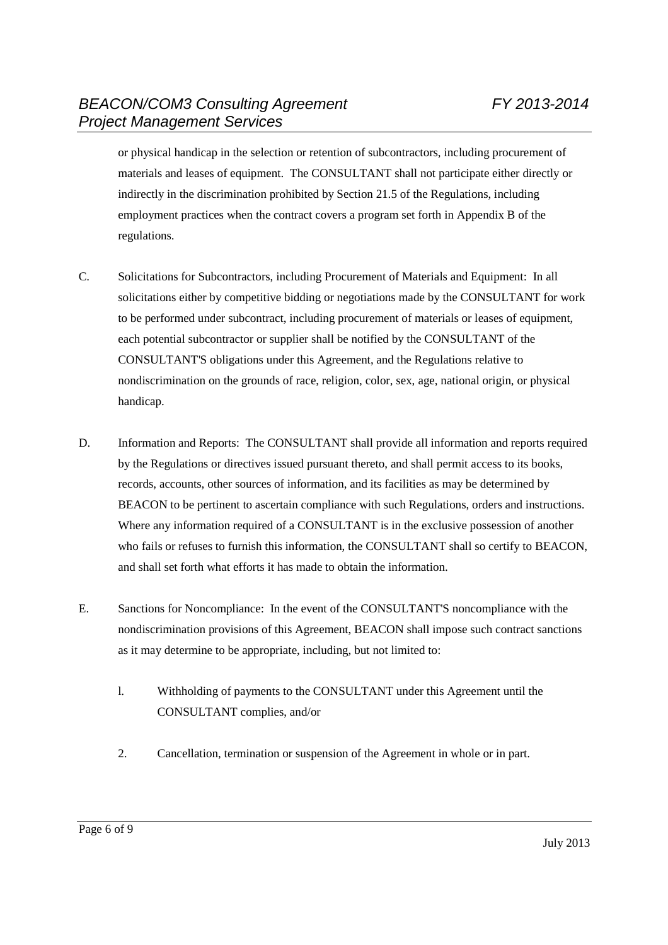or physical handicap in the selection or retention of subcontractors, including procurement of materials and leases of equipment. The CONSULTANT shall not participate either directly or indirectly in the discrimination prohibited by Section 21.5 of the Regulations, including employment practices when the contract covers a program set forth in Appendix B of the regulations.

- C. Solicitations for Subcontractors, including Procurement of Materials and Equipment: In all solicitations either by competitive bidding or negotiations made by the CONSULTANT for work to be performed under subcontract, including procurement of materials or leases of equipment, each potential subcontractor or supplier shall be notified by the CONSULTANT of the CONSULTANT'S obligations under this Agreement, and the Regulations relative to nondiscrimination on the grounds of race, religion, color, sex, age, national origin, or physical handicap.
- D. Information and Reports: The CONSULTANT shall provide all information and reports required by the Regulations or directives issued pursuant thereto, and shall permit access to its books, records, accounts, other sources of information, and its facilities as may be determined by BEACON to be pertinent to ascertain compliance with such Regulations, orders and instructions. Where any information required of a CONSULTANT is in the exclusive possession of another who fails or refuses to furnish this information, the CONSULTANT shall so certify to BEACON, and shall set forth what efforts it has made to obtain the information.
- E. Sanctions for Noncompliance: In the event of the CONSULTANT'S noncompliance with the nondiscrimination provisions of this Agreement, BEACON shall impose such contract sanctions as it may determine to be appropriate, including, but not limited to:
	- l. Withholding of payments to the CONSULTANT under this Agreement until the CONSULTANT complies, and/or
	- 2. Cancellation, termination or suspension of the Agreement in whole or in part.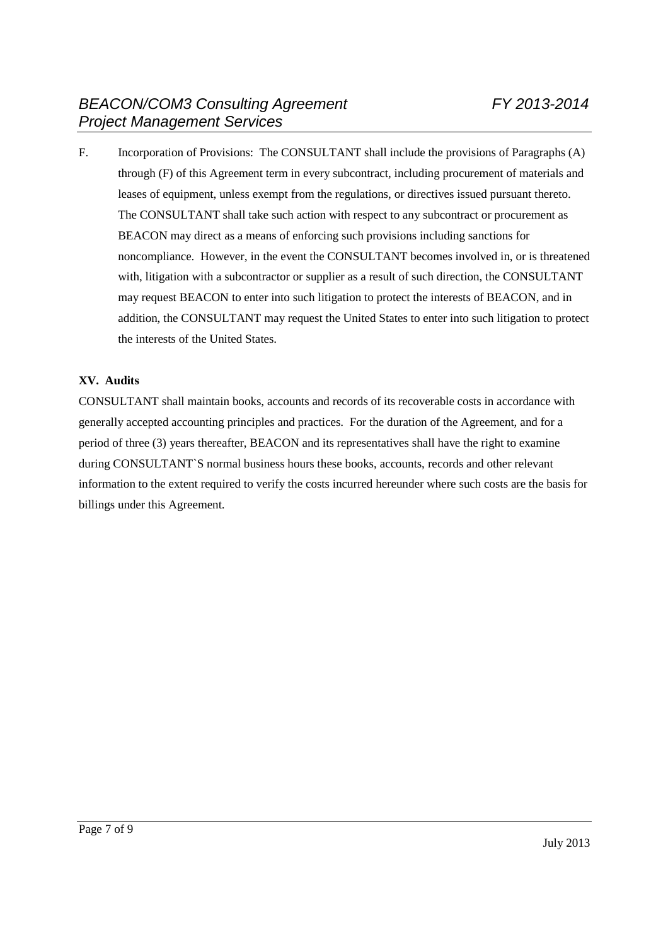F. Incorporation of Provisions: The CONSULTANT shall include the provisions of Paragraphs (A) through (F) of this Agreement term in every subcontract, including procurement of materials and leases of equipment, unless exempt from the regulations, or directives issued pursuant thereto. The CONSULTANT shall take such action with respect to any subcontract or procurement as BEACON may direct as a means of enforcing such provisions including sanctions for noncompliance. However, in the event the CONSULTANT becomes involved in, or is threatened with, litigation with a subcontractor or supplier as a result of such direction, the CONSULTANT may request BEACON to enter into such litigation to protect the interests of BEACON, and in addition, the CONSULTANT may request the United States to enter into such litigation to protect the interests of the United States.

## **XV. Audits**

CONSULTANT shall maintain books, accounts and records of its recoverable costs in accordance with generally accepted accounting principles and practices. For the duration of the Agreement, and for a period of three (3) years thereafter, BEACON and its representatives shall have the right to examine during CONSULTANT`S normal business hours these books, accounts, records and other relevant information to the extent required to verify the costs incurred hereunder where such costs are the basis for billings under this Agreement.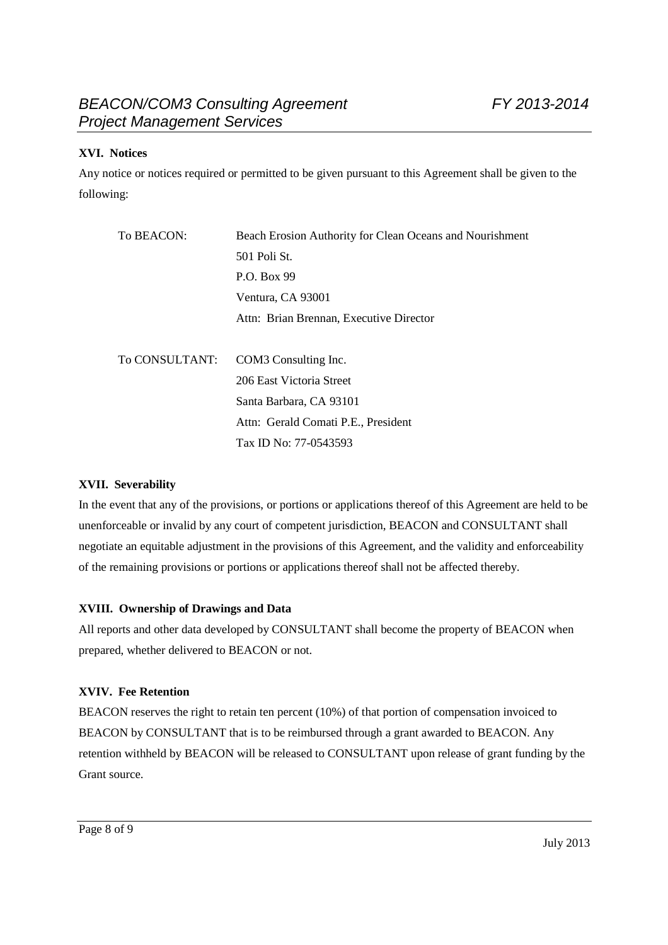## **XVI. Notices**

Any notice or notices required or permitted to be given pursuant to this Agreement shall be given to the following:

| To BEACON:     | Beach Erosion Authority for Clean Oceans and Nourishment |
|----------------|----------------------------------------------------------|
|                | 501 Poli St.                                             |
|                | P.O. Box 99                                              |
|                | Ventura, CA 93001                                        |
|                | Attn: Brian Brennan, Executive Director                  |
|                |                                                          |
| To CONSULTANT: | COM <sub>3</sub> Consulting Inc.                         |
|                | 206 East Victoria Street                                 |
|                | Santa Barbara, CA 93101                                  |
|                | Attn: Gerald Comati P.E., President                      |
|                | Tax ID No: 77-0543593                                    |

## **XVII. Severability**

In the event that any of the provisions, or portions or applications thereof of this Agreement are held to be unenforceable or invalid by any court of competent jurisdiction, BEACON and CONSULTANT shall negotiate an equitable adjustment in the provisions of this Agreement, and the validity and enforceability of the remaining provisions or portions or applications thereof shall not be affected thereby.

## **XVIII. Ownership of Drawings and Data**

All reports and other data developed by CONSULTANT shall become the property of BEACON when prepared, whether delivered to BEACON or not.

## **XVIV. Fee Retention**

BEACON reserves the right to retain ten percent (10%) of that portion of compensation invoiced to BEACON by CONSULTANT that is to be reimbursed through a grant awarded to BEACON. Any retention withheld by BEACON will be released to CONSULTANT upon release of grant funding by the Grant source.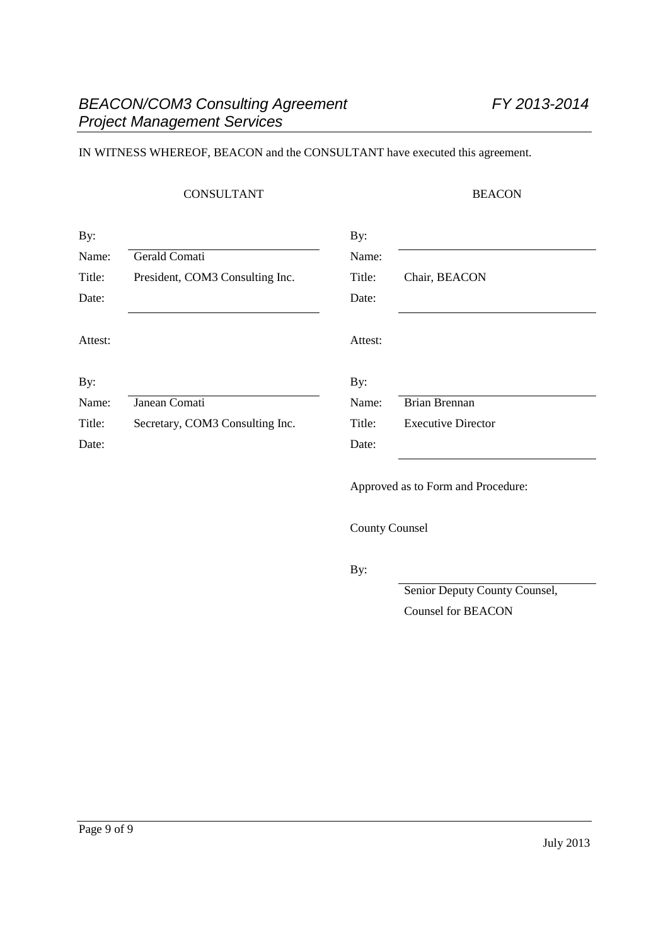## IN WITNESS WHEREOF, BEACON and the CONSULTANT have executed this agreement.

## CONSULTANT BEACON

| By:     |                                 | By:     |                                    |
|---------|---------------------------------|---------|------------------------------------|
| Name:   | Gerald Comati                   | Name:   |                                    |
| Title:  | President, COM3 Consulting Inc. | Title:  | Chair, BEACON                      |
| Date:   |                                 | Date:   |                                    |
| Attest: |                                 | Attest: |                                    |
| By:     |                                 | By:     |                                    |
| Name:   | Janean Comati                   | Name:   | Brian Brennan                      |
| Title:  | Secretary, COM3 Consulting Inc. | Title:  | <b>Executive Director</b>          |
| Date:   |                                 | Date:   |                                    |
|         |                                 |         | Approved as to Form and Procedure: |

County Counsel

By:

Senior Deputy County Counsel, Counsel for BEACON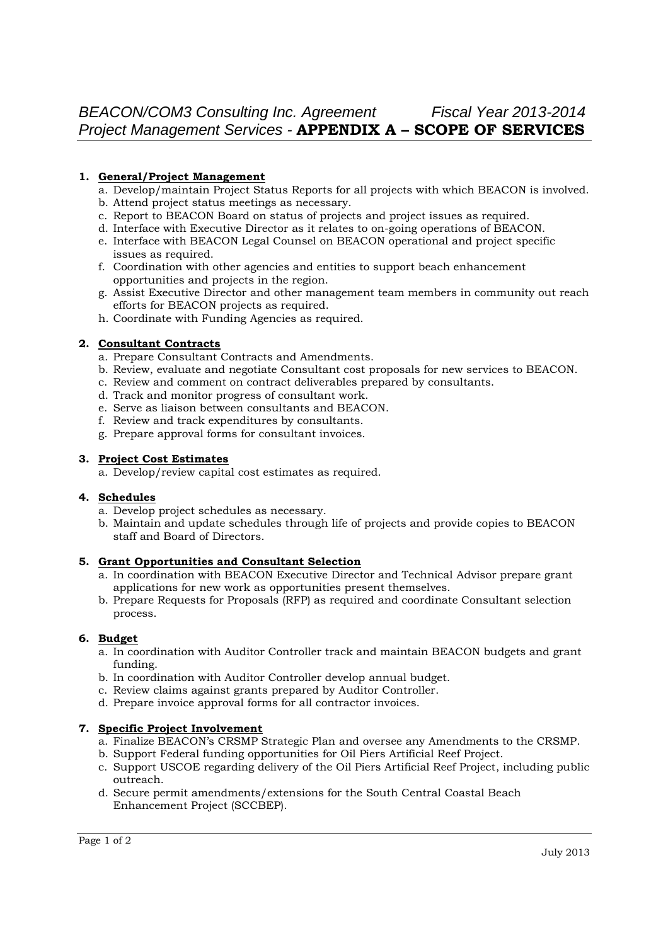#### **1. General/Project Management**

- a. Develop/maintain Project Status Reports for all projects with which BEACON is involved.
- b. Attend project status meetings as necessary.
- c. Report to BEACON Board on status of projects and project issues as required.
- d. Interface with Executive Director as it relates to on-going operations of BEACON.
- e. Interface with BEACON Legal Counsel on BEACON operational and project specific issues as required.
- f. Coordination with other agencies and entities to support beach enhancement opportunities and projects in the region.
- g. Assist Executive Director and other management team members in community out reach efforts for BEACON projects as required.
- h. Coordinate with Funding Agencies as required.

#### **2. Consultant Contracts**

- a. Prepare Consultant Contracts and Amendments.
- b. Review, evaluate and negotiate Consultant cost proposals for new services to BEACON.
- c. Review and comment on contract deliverables prepared by consultants.
- d. Track and monitor progress of consultant work.
- e. Serve as liaison between consultants and BEACON.
- f. Review and track expenditures by consultants.
- g. Prepare approval forms for consultant invoices.

#### **3. Project Cost Estimates**

a. Develop/review capital cost estimates as required.

#### **4. Schedules**

- a. Develop project schedules as necessary.
- b. Maintain and update schedules through life of projects and provide copies to BEACON staff and Board of Directors.

#### **5. Grant Opportunities and Consultant Selection**

- a. In coordination with BEACON Executive Director and Technical Advisor prepare grant applications for new work as opportunities present themselves.
- b. Prepare Requests for Proposals (RFP) as required and coordinate Consultant selection process.

#### **6. Budget**

- a. In coordination with Auditor Controller track and maintain BEACON budgets and grant funding.
- b. In coordination with Auditor Controller develop annual budget.
- c. Review claims against grants prepared by Auditor Controller.
- d. Prepare invoice approval forms for all contractor invoices.

#### **7. Specific Project Involvement**

- a. Finalize BEACON's CRSMP Strategic Plan and oversee any Amendments to the CRSMP.
- b. Support Federal funding opportunities for Oil Piers Artificial Reef Project.
- c. Support USCOE regarding delivery of the Oil Piers Artificial Reef Project, including public outreach.
- d. Secure permit amendments/extensions for the South Central Coastal Beach Enhancement Project (SCCBEP).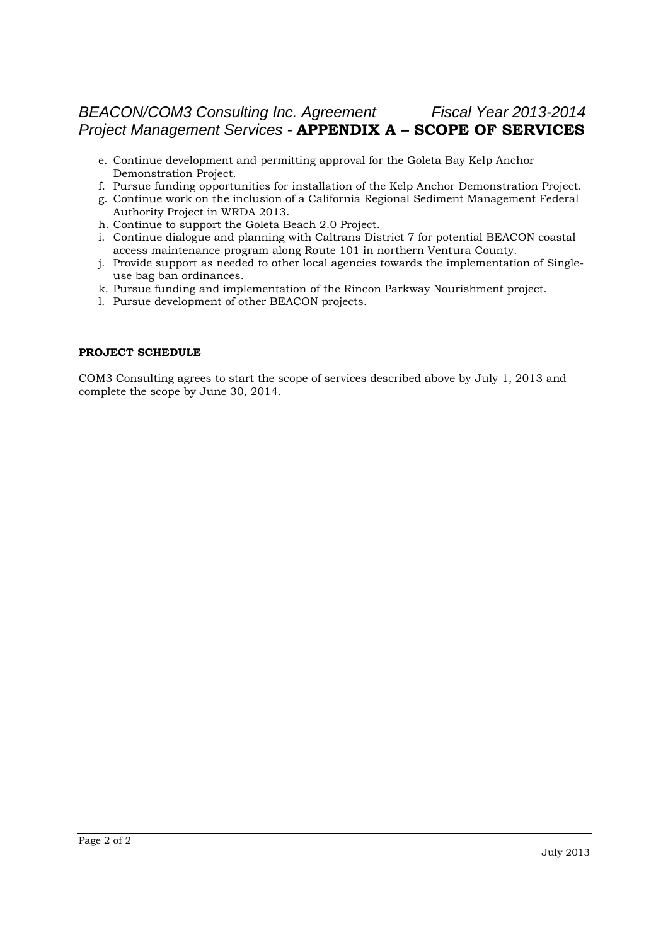# *BEACON/COM3 Consulting Inc. Agreement Fiscal Year 2013-2014 Project Management Services -* **APPENDIX A – SCOPE OF SERVICES**

- e. Continue development and permitting approval for the Goleta Bay Kelp Anchor Demonstration Project.
- f. Pursue funding opportunities for installation of the Kelp Anchor Demonstration Project.
- g. Continue work on the inclusion of a California Regional Sediment Management Federal Authority Project in WRDA 2013.
- h. Continue to support the Goleta Beach 2.0 Project.
- i. Continue dialogue and planning with Caltrans District 7 for potential BEACON coastal access maintenance program along Route 101 in northern Ventura County.
- j. Provide support as needed to other local agencies towards the implementation of Singleuse bag ban ordinances.
- k. Pursue funding and implementation of the Rincon Parkway Nourishment project.
- l. Pursue development of other BEACON projects.

#### **PROJECT SCHEDULE**

COM3 Consulting agrees to start the scope of services described above by July 1, 2013 and complete the scope by June 30, 2014.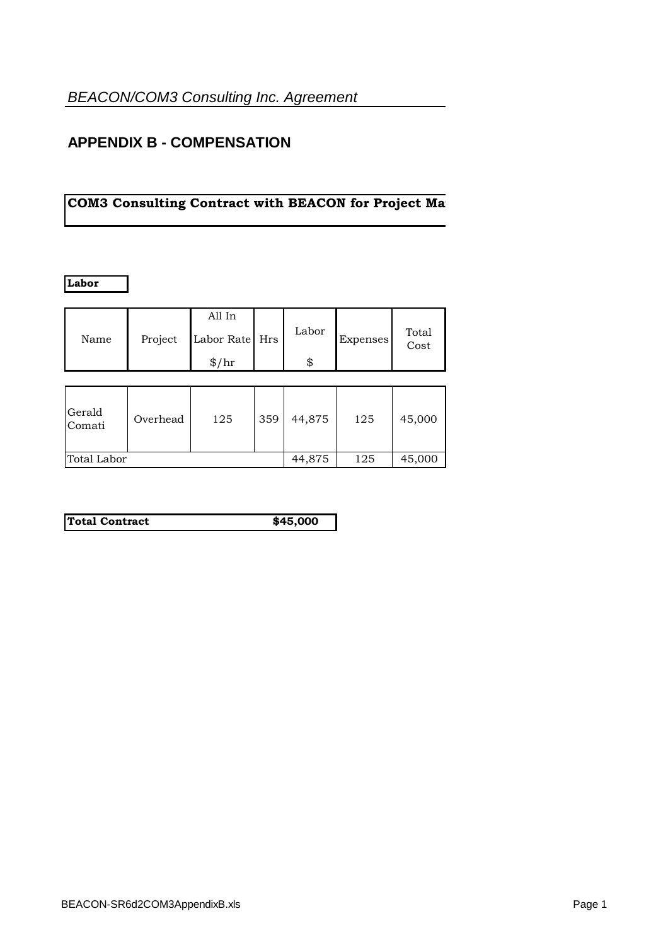# **APPENDIX B - COMPENSATION**

# **COM3 Consulting Contract with BEACON for Project Management Services**

**Labor**

|      |         | All In                  | Labor   |          | Total |
|------|---------|-------------------------|---------|----------|-------|
| Name | Project | Labor Rate Hrs<br>\$/hr | ጦ<br>۱D | Expenses | Cost  |

| Gerald<br>Comati | Overhead | 125 | 359    | 44,875 | 125    | 45,000 |
|------------------|----------|-----|--------|--------|--------|--------|
| Total Labor      |          |     | 44,875 | 125    | 45,000 |        |

| \$45,000<br>Total Contract |  |
|----------------------------|--|
|                            |  |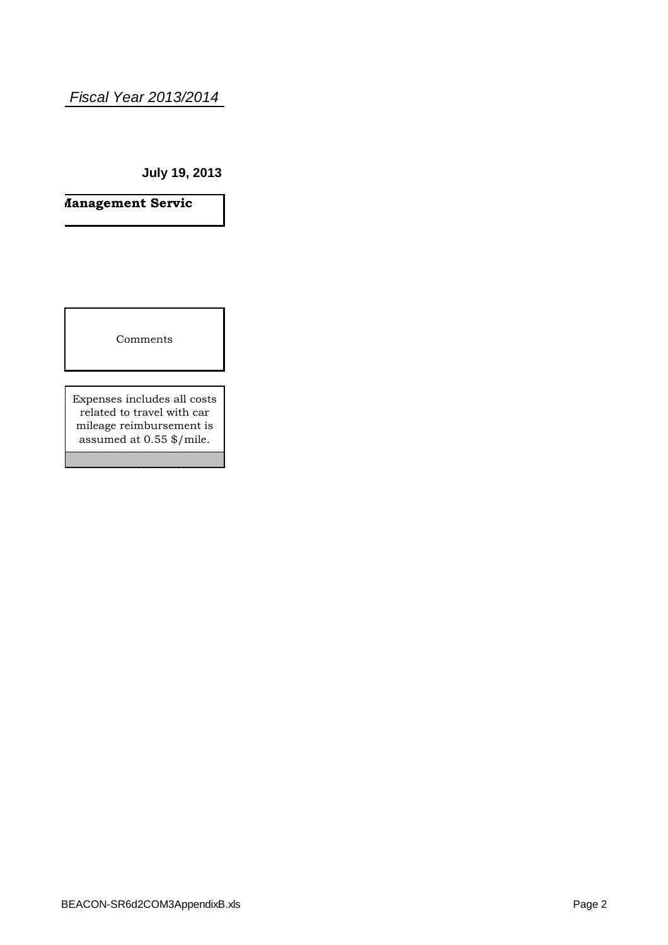# *Fiscal Year 2013/2014*

**July 19, 2013**

**COM3** Consulting Consulting Consulting Constant Management Services and Project Management Services and Project Management Services and Project Management Services and Project Management Services and Project Management Se

Comments

Expenses includes all costs related to travel with car mileage reimbursement is assumed at 0.55 \$/mile.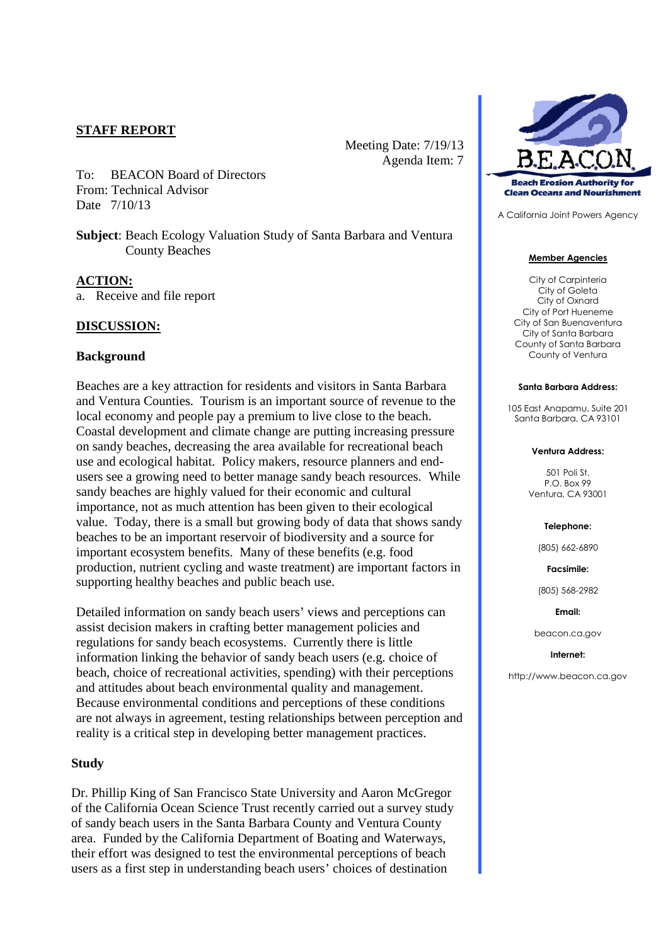## **STAFF REPORT**

To: BEACON Board of Directors From: Technical Advisor Date 7/10/13

**Subject**: Beach Ecology Valuation Study of Santa Barbara and Ventura County Beaches

Meeting Date: 7/19/13

Agenda Item: 7

#### **ACTION:**

a. Receive and file report

## **DISCUSSION:**

#### **Background**

Beaches are a key attraction for residents and visitors in Santa Barbara and Ventura Counties. Tourism is an important source of revenue to the local economy and people pay a premium to live close to the beach. Coastal development and climate change are putting increasing pressure on sandy beaches, decreasing the area available for recreational beach use and ecological habitat. Policy makers, resource planners and endusers see a growing need to better manage sandy beach resources. While sandy beaches are highly valued for their economic and cultural importance, not as much attention has been given to their ecological value. Today, there is a small but growing body of data that shows sandy beaches to be an important reservoir of biodiversity and a source for important ecosystem benefits. Many of these benefits (e.g. food production, nutrient cycling and waste treatment) are important factors in supporting healthy beaches and public beach use.

Detailed information on sandy beach users' views and perceptions can assist decision makers in crafting better management policies and regulations for sandy beach ecosystems. Currently there is little information linking the behavior of sandy beach users (e.g. choice of beach, choice of recreational activities, spending) with their perceptions and attitudes about beach environmental quality and management. Because environmental conditions and perceptions of these conditions are not always in agreement, testing relationships between perception and reality is a critical step in developing better management practices.

#### **Study**

Dr. Phillip King of San Francisco State University and Aaron McGregor of the California Ocean Science Trust recently carried out a survey study of sandy beach users in the Santa Barbara County and Ventura County area. Funded by the California Department of Boating and Waterways, their effort was designed to test the environmental perceptions of beach users as a first step in understanding beach users' choices of destination



A California Joint Powers Agency

#### **Member Agencies**

City of Carpinteria City of Goleta City of Oxnard City of Port Hueneme City of San Buenaventura City of Santa Barbara County of Santa Barbara County of Ventura

#### **Santa Barbara Address:**

105 East Anapamu, Suite 201 Santa Barbara, CA 93101

#### **Ventura Address:**

501 Poli St. P.O. Box 99 Ventura, CA 93001

#### **Telephone:**

(805) 662-6890

**Facsimile:**

(805) 568-2982

**Email:**

beacon.ca.gov

#### **Internet:**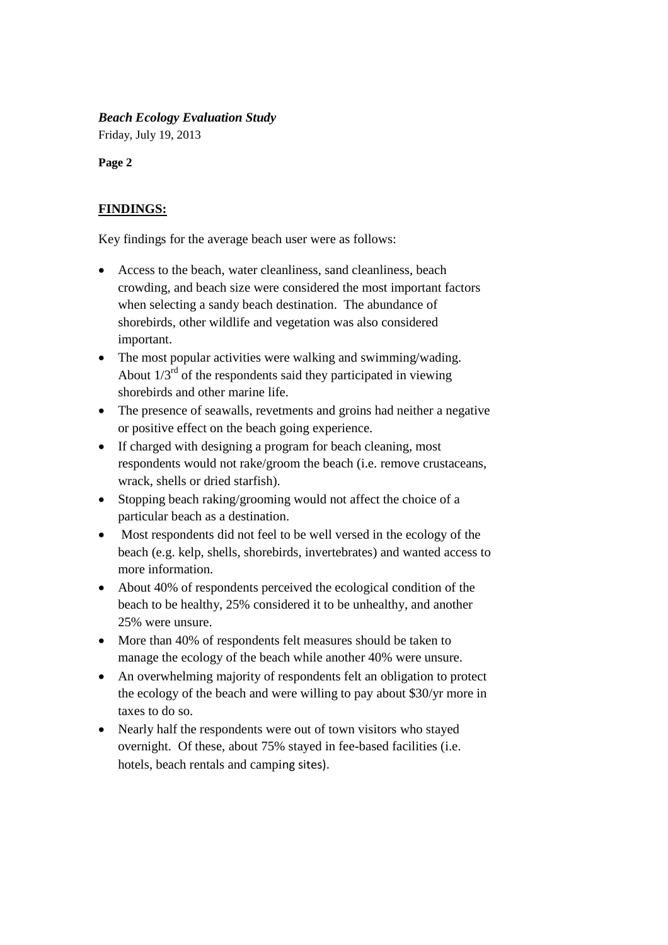## *Beach Ecology Evaluation Study*

Friday, July 19, 2013

**Page 2**

# **FINDINGS:**

Key findings for the average beach user were as follows:

- Access to the beach, water cleanliness, sand cleanliness, beach crowding, and beach size were considered the most important factors when selecting a sandy beach destination. The abundance of shorebirds, other wildlife and vegetation was also considered important.
- The most popular activities were walking and swimming/wading. About  $1/3<sup>rd</sup>$  of the respondents said they participated in viewing shorebirds and other marine life.
- The presence of seawalls, revetments and groins had neither a negative or positive effect on the beach going experience.
- If charged with designing a program for beach cleaning, most respondents would not rake/groom the beach (i.e. remove crustaceans, wrack, shells or dried starfish).
- Stopping beach raking/grooming would not affect the choice of a particular beach as a destination.
- Most respondents did not feel to be well versed in the ecology of the beach (e.g. kelp, shells, shorebirds, invertebrates) and wanted access to more information.
- About 40% of respondents perceived the ecological condition of the beach to be healthy, 25% considered it to be unhealthy, and another 25% were unsure.
- More than 40% of respondents felt measures should be taken to manage the ecology of the beach while another 40% were unsure.
- An overwhelming majority of respondents felt an obligation to protect the ecology of the beach and were willing to pay about \$30/yr more in taxes to do so.
- Nearly half the respondents were out of town visitors who stayed overnight. Of these, about 75% stayed in fee-based facilities (i.e. hotels, beach rentals and camping sites).